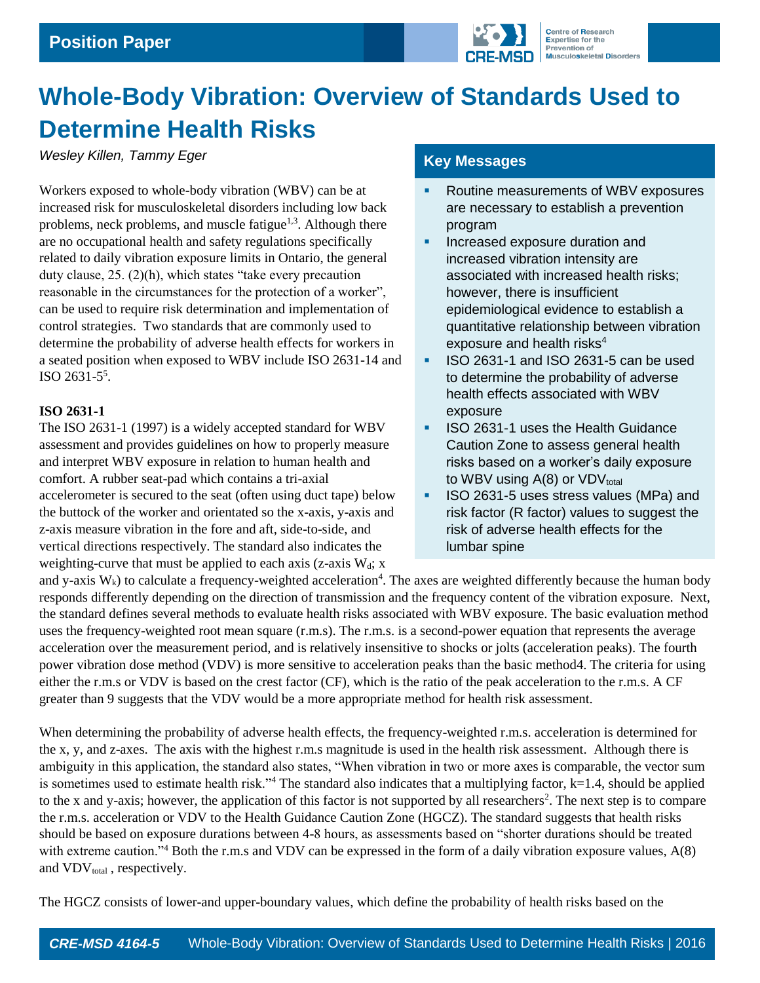

# **Whole-Body Vibration: Overview of Standards Used to Determine Health Risks**

*Wesley Killen, Tammy Eger*

Workers exposed to whole-body vibration (WBV) can be at increased risk for musculoskeletal disorders including low back problems, neck problems, and muscle fatigue<sup>1,3</sup>. Although there are no occupational health and safety regulations specifically related to daily vibration exposure limits in Ontario, the general duty clause, 25. (2)(h), which states "take every precaution reasonable in the circumstances for the protection of a worker", can be used to require risk determination and implementation of control strategies. Two standards that are commonly used to determine the probability of adverse health effects for workers in a seated position when exposed to WBV include ISO 2631-14 and ISO 2631-5 5 .

# **ISO 2631-1**

The ISO 2631-1 (1997) is a widely accepted standard for WBV assessment and provides guidelines on how to properly measure and interpret WBV exposure in relation to human health and comfort. A rubber seat-pad which contains a tri-axial accelerometer is secured to the seat (often using duct tape) below the buttock of the worker and orientated so the x-axis, y-axis and z-axis measure vibration in the fore and aft, side-to-side, and vertical directions respectively. The standard also indicates the weighting-curve that must be applied to each axis (z-axis  $W_d$ ; x

# **Key Messages**

- Routine measurements of WBV exposures are necessary to establish a prevention program
- **Increased exposure duration and** increased vibration intensity are associated with increased health risks; however, there is insufficient epidemiological evidence to establish a quantitative relationship between vibration exposure and health risks<sup>4</sup>
- ISO 2631-1 and ISO 2631-5 can be used to determine the probability of adverse health effects associated with WBV exposure
- **ISO 2631-1 uses the Health Guidance** Caution Zone to assess general health risks based on a worker's daily exposure to WBV using  $A(8)$  or VDV<sub>total</sub>
- **ISO 2631-5 uses stress values (MPa) and** risk factor (R factor) values to suggest the risk of adverse health effects for the lumbar spine

and y-axis  $W_k$ ) to calculate a frequency-weighted acceleration<sup>4</sup>. The axes are weighted differently because the human body responds differently depending on the direction of transmission and the frequency content of the vibration exposure. Next, the standard defines several methods to evaluate health risks associated with WBV exposure. The basic evaluation method uses the frequency-weighted root mean square (r.m.s). The r.m.s. is a second-power equation that represents the average acceleration over the measurement period, and is relatively insensitive to shocks or jolts (acceleration peaks). The fourth power vibration dose method (VDV) is more sensitive to acceleration peaks than the basic method4. The criteria for using either the r.m.s or VDV is based on the crest factor (CF), which is the ratio of the peak acceleration to the r.m.s. A CF greater than 9 suggests that the VDV would be a more appropriate method for health risk assessment.

When determining the probability of adverse health effects, the frequency-weighted r.m.s. acceleration is determined for the x, y, and z-axes. The axis with the highest r.m.s magnitude is used in the health risk assessment. Although there is ambiguity in this application, the standard also states, "When vibration in two or more axes is comparable, the vector sum is sometimes used to estimate health risk."<sup>4</sup> The standard also indicates that a multiplying factor,  $k=1.4$ , should be applied to the x and y-axis; however, the application of this factor is not supported by all researchers<sup>2</sup>. The next step is to compare the r.m.s. acceleration or VDV to the Health Guidance Caution Zone (HGCZ). The standard suggests that health risks should be based on exposure durations between 4-8 hours, as assessments based on "shorter durations should be treated with extreme caution."<sup>4</sup> Both the r.m.s and VDV can be expressed in the form of a daily vibration exposure values, A(8) and  $VDV<sub>total</sub>$ , respectively.

The HGCZ consists of lower-and upper-boundary values, which define the probability of health risks based on the